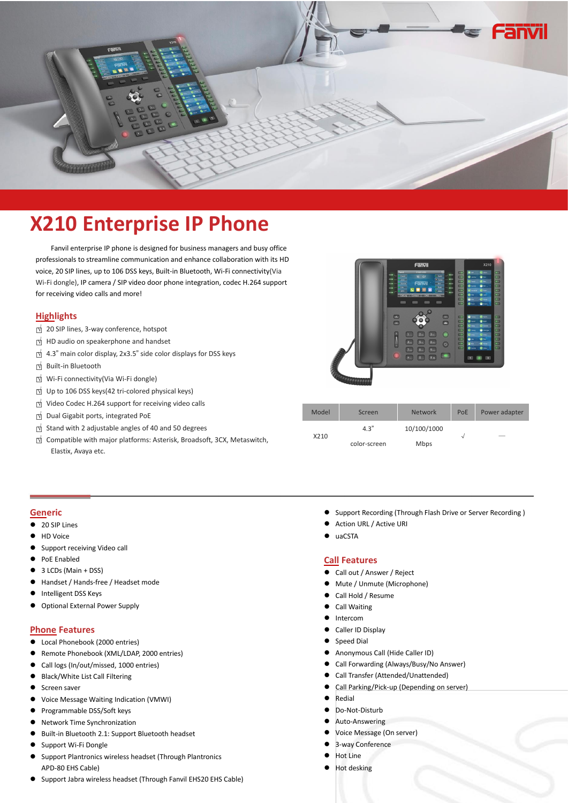

# **X210 Enterprise IP Phone**

Fanvil enterprise IP phone is designed for business managers and busy office professionals to streamline communication and enhance collaboration with its HD voice, 20 SIP lines, up to 106 DSS keys, Built-in Bluetooth, Wi-Fi connectivity(Via Wi-Fi dongle), IP camera / SIP video door phone integration, codec H.264 support for receiving video calls and more!

# **Highlights**

- □<sup>√</sup> <sup>20</sup> SIP lines, 3-way conference, hotspot
- □<sup>√</sup> HD audio on speakerphone and handset
- □<sup>√</sup> 4.3" main color display, 2x3.5" side color displays for DSS keys
- □<sup>√</sup> Built-in Bluetooth
- □<sup>√</sup> Wi-Fi connectivity(Via Wi-Fi dongle)
- □<sup>√</sup> Up to <sup>106</sup> DSS keys(42 tri-colored physical keys)
- □<sup>√</sup> Video Codec H.264 supportfor receiving video calls
- □<sup>√</sup> Dual Gigabit ports, integrated PoE
- □<sup>√</sup> Stand with <sup>2</sup> adjustable angles of <sup>40</sup> and <sup>50</sup> degrees
- □<sup>√</sup> Compatible with major platforms: Asterisk, Broadsoft, 3CX, Metaswitch,



| ideo Codec H.264 support for receiving video calls                    |       |              |                |     |                          |
|-----------------------------------------------------------------------|-------|--------------|----------------|-----|--------------------------|
| ual Gigabit ports, integrated PoE                                     | Model | Screen       | <b>Network</b> | PoE | Power adapter            |
| tand with 2 adjustable angles of 40 and 50 degrees                    |       | 4.3"         | 10/100/1000    |     |                          |
| ompatible with major platforms: Asterisk, Broadsoft, 3CX, Metaswitch, | X210  | color-screen | Mbps           |     | $\overline{\phantom{a}}$ |
| Elastix, Avaya etc.                                                   |       |              |                |     |                          |

#### **Generic**

- 20 SIP Lines
- HD Voice
- Support receiving Video call
- PoE Enabled
- 3 LCDs(Main + DSS)
- Handset / Hands-free / Headset mode
- Intelligent DSS Keys
- Optional External Power Supply

### **Phone Features**

- Local Phonebook (2000 entries)
- Remote Phonebook (XML/LDAP, 2000 entries)
- Call logs (In/out/missed, 1000 entries)
- Black/White List Call Filtering
- Screen saver
- Voice Message Waiting Indication (VMWI)
- **•** Programmable DSS/Soft keys
- Network Time Synchronization
- Built-in Bluetooth 2.1: Support Bluetooth headset
- Support Wi-Fi Dongle
- Support Plantronics wireless headset (Through Plantronics APD-80 EHS Cable)
- Support Jabra wireless headset (Through Fanvil EHS20 EHS Cable)
- **•** Support Recording (Through Flash Drive or Server Recording)
- Action URL / Active URI
- uaCSTA

#### **Call Features**

- Call out / Answer / Reject
- Mute / Unmute (Microphone)
- Call Hold / Resume
- Call Waiting
- **•** Intercom
- Caller ID Display
- Speed Dial
- Anonymous Call (Hide Caller ID)
- Call Forwarding (Always/Busy/No Answer)
- Call Transfer (Attended/Unattended)
- Call Parking/Pick-up (Depending on server)
- Redial
- Do-Not-Disturb
- Auto-Answering
- Voice Message (On server)
- 3-way Conference
- Hot Line
- Hot desking